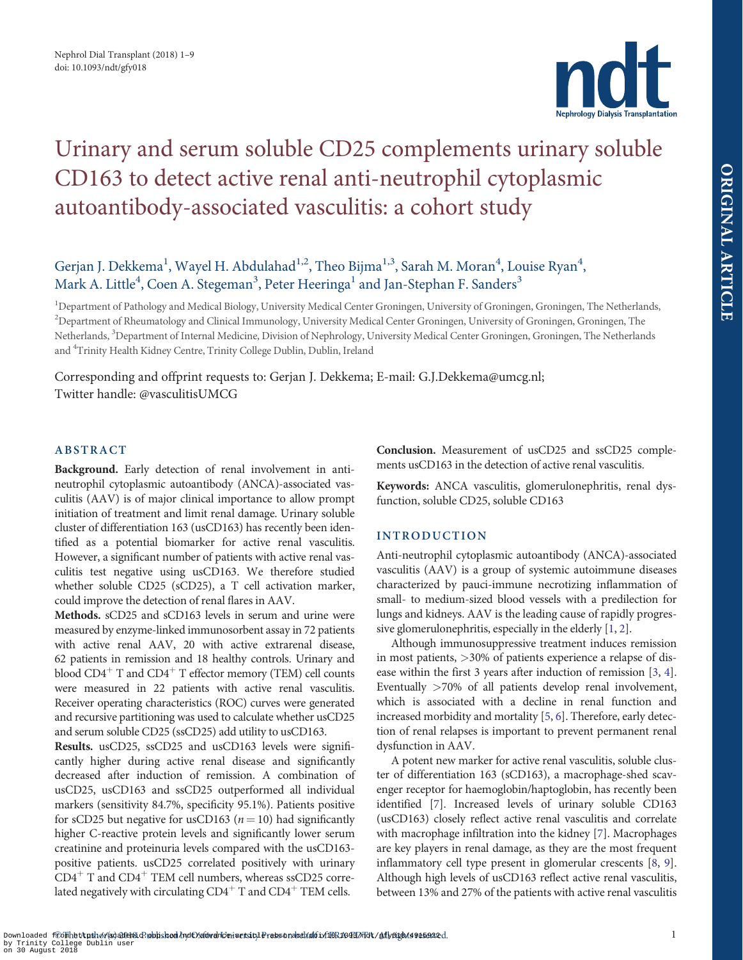

# <span id="page-0-0"></span>Urinary and serum soluble CD25 complements urinary soluble CD163 to detect active renal anti-neutrophil cytoplasmic autoantibody-associated vasculitis: a cohort study

Gerjan J. Dekkema<sup>1</sup>, Wayel H. Abdulahad<sup>1,2</sup>, Theo Bijma<sup>1,3</sup>, Sarah M. Moran<sup>4</sup>, Louise Ryan<sup>4</sup>, Mark A. Little<sup>4</sup>, Coen A. Stegeman<sup>3</sup>, Peter Heeringa<sup>1</sup> and Jan-Stephan F. Sanders<sup>3</sup>

<sup>1</sup>Department of Pathology and Medical Biology, University Medical Center Groningen, University of Groningen, Groningen, The Netherlands, <sup>2</sup>Department of Rheumatology and Clinical Immunology, University Medical Center Groningen, University of Groningen, Groningen, The Netherlands, <sup>3</sup>Department of Internal Medicine, Division of Nephrology, University Medical Center Groningen, Groningen, The Netherlands and <sup>4</sup>Trinity Health Kidney Centre, Trinity College Dublin, Dublin, Ireland

Corresponding and offprint requests to: Gerjan J. Dekkema; E-mail: G.J.Dekkema@umcg.nl; Twitter handle: @vasculitisUMCG

## ABSTRACT

Background. Early detection of renal involvement in antineutrophil cytoplasmic autoantibody (ANCA)-associated vasculitis (AAV) is of major clinical importance to allow prompt initiation of treatment and limit renal damage. Urinary soluble cluster of differentiation 163 (usCD163) has recently been identified as a potential biomarker for active renal vasculitis. However, a significant number of patients with active renal vasculitis test negative using usCD163. We therefore studied whether soluble CD25 (sCD25), a T cell activation marker, could improve the detection of renal flares in AAV.

Methods. sCD25 and sCD163 levels in serum and urine were measured by enzyme-linked immunosorbent assay in 72 patients with active renal AAV, 20 with active extrarenal disease, 62 patients in remission and 18 healthy controls. Urinary and blood  $CD4^+$  T and  $CD4^+$  T effector memory (TEM) cell counts were measured in 22 patients with active renal vasculitis. Receiver operating characteristics (ROC) curves were generated and recursive partitioning was used to calculate whether usCD25 and serum soluble CD25 (ssCD25) add utility to usCD163.

Results. usCD25, ssCD25 and usCD163 levels were significantly higher during active renal disease and significantly decreased after induction of remission. A combination of usCD25, usCD163 and ssCD25 outperformed all individual markers (sensitivity 84.7%, specificity 95.1%). Patients positive for sCD25 but negative for usCD163 ( $n = 10$ ) had significantly higher C-reactive protein levels and significantly lower serum creatinine and proteinuria levels compared with the usCD163 positive patients. usCD25 correlated positively with urinary  $CD4<sup>+</sup>$  T and  $CD4<sup>+</sup>$  TEM cell numbers, whereas ssCD25 correlated negatively with circulating  $CD4^+$  T and  $CD4^+$  TEM cells.

Conclusion. Measurement of usCD25 and ssCD25 complements usCD163 in the detection of active renal vasculitis.

Keywords: ANCA vasculitis, glomerulonephritis, renal dysfunction, soluble CD25, soluble CD163

## INTRODUCTION

Anti-neutrophil cytoplasmic autoantibody (ANCA)-associated vasculitis (AAV) is a group of systemic autoimmune diseases characterized by pauci-immune necrotizing inflammation of small- to medium-sized blood vessels with a predilection for lungs and kidneys. AAV is the leading cause of rapidly progressive glomerulonephritis, especially in the elderly [[1](#page-7-0), [2](#page-7-0)].

Although immunosuppressive treatment induces remission in most patients, >30% of patients experience a relapse of disease within the first 3 years after induction of remission [\[3,](#page-7-0) [4](#page-7-0)]. Eventually >70% of all patients develop renal involvement, which is associated with a decline in renal function and increased morbidity and mortality [\[5,](#page-7-0) [6\]](#page-7-0). Therefore, early detection of renal relapses is important to prevent permanent renal dysfunction in AAV.

A potent new marker for active renal vasculitis, soluble cluster of differentiation 163 (sCD163), a macrophage-shed scavenger receptor for haemoglobin/haptoglobin, has recently been identified [[7](#page-7-0)]. Increased levels of urinary soluble CD163 (usCD163) closely reflect active renal vasculitis and correlate with macrophage infiltration into the kidney [\[7](#page-7-0)]. Macrophages are key players in renal damage, as they are the most frequent inflammatory cell type present in glomerular crescents [\[8](#page-7-0), [9](#page-7-0)]. Although high levels of usCD163 reflect active renal vasculitis, between 13% and 27% of the patients with active renal vasculitis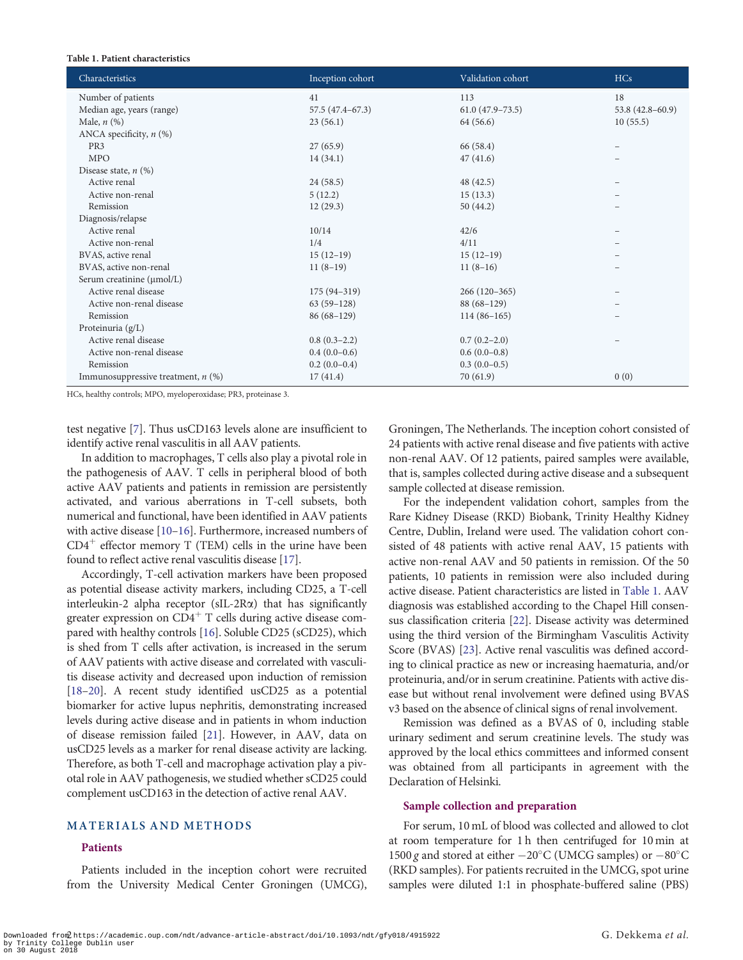#### <span id="page-1-0"></span>Table 1. Patient characteristics

| Characteristics                      | Inception cohort  | Validation cohort    | <b>HCs</b>          |
|--------------------------------------|-------------------|----------------------|---------------------|
| Number of patients                   | 41                | 113                  | 18                  |
| Median age, years (range)            | $57.5(47.4-67.3)$ | $61.0 (47.9 - 73.5)$ | $53.8(42.8 - 60.9)$ |
| Male, $n$ $(\%)$                     | 23(56.1)          | 64 (56.6)            | 10(55.5)            |
| ANCA specificity, $n$ (%)            |                   |                      |                     |
| PR <sub>3</sub>                      | 27(65.9)          | 66 (58.4)            | $\qquad \qquad -$   |
| <b>MPO</b>                           | 14(34.1)          | 47(41.6)             |                     |
| Disease state, $n$ (%)               |                   |                      |                     |
| Active renal                         | 24(58.5)          | 48 (42.5)            |                     |
| Active non-renal                     | 5(12.2)           | 15(13.3)             |                     |
| Remission                            | 12(29.3)          | 50(44.2)             |                     |
| Diagnosis/relapse                    |                   |                      |                     |
| Active renal                         | 10/14             | 42/6                 |                     |
| Active non-renal                     | 1/4               | 4/11                 |                     |
| BVAS, active renal                   | $15(12-19)$       | $15(12-19)$          |                     |
| BVAS, active non-renal               | $11(8-19)$        | $11(8-16)$           |                     |
| Serum creatinine (µmol/L)            |                   |                      |                     |
| Active renal disease                 | $175(94-319)$     | $266(120-365)$       |                     |
| Active non-renal disease             | $63(59-128)$      | $88(68-129)$         |                     |
| Remission                            | $86(68-129)$      | $114(86-165)$        |                     |
| Proteinuria (g/L)                    |                   |                      |                     |
| Active renal disease                 | $0.8(0.3-2.2)$    | $0.7(0.2-2.0)$       |                     |
| Active non-renal disease             | $0.4(0.0-0.6)$    | $0.6(0.0-0.8)$       |                     |
| Remission                            | $0.2(0.0-0.4)$    | $0.3(0.0-0.5)$       |                     |
| Immunosuppressive treatment, $n$ (%) | 17(41.4)          | 70(61.9)             | 0(0)                |

HCs, healthy controls; MPO, myeloperoxidase; PR3, proteinase 3.

test negative [\[7\]](#page-7-0). Thus usCD163 levels alone are insufficient to identify active renal vasculitis in all AAV patients.

In addition to macrophages, T cells also play a pivotal role in the pathogenesis of AAV. T cells in peripheral blood of both active AAV patients and patients in remission are persistently activated, and various aberrations in T-cell subsets, both numerical and functional, have been identified in AAV patients with active disease [\[10–16](#page-7-0)]. Furthermore, increased numbers of  $CD4^+$  effector memory T (TEM) cells in the urine have been found to reflect active renal vasculitis disease [\[17\]](#page-7-0).

Accordingly, T-cell activation markers have been proposed as potential disease activity markers, including CD25, a T-cell interleukin-2 alpha receptor ( $sIL-2R\alpha$ ) that has significantly greater expression on  $CD4^+$  T cells during active disease compared with healthy controls [[16\]](#page-7-0). Soluble CD25 (sCD25), which is shed from T cells after activation, is increased in the serum of AAV patients with active disease and correlated with vasculitis disease activity and decreased upon induction of remission [\[18–](#page-7-0)[20](#page-8-0)]. A recent study identified usCD25 as a potential biomarker for active lupus nephritis, demonstrating increased levels during active disease and in patients in whom induction of disease remission failed [\[21\]](#page-8-0). However, in AAV, data on usCD25 levels as a marker for renal disease activity are lacking. Therefore, as both T-cell and macrophage activation play a pivotal role in AAV pathogenesis, we studied whether sCD25 could complement usCD163 in the detection of active renal AAV.

### MATERIALS AND METHODS

#### Patients

Patients included in the inception cohort were recruited from the University Medical Center Groningen (UMCG),

Groningen, The Netherlands. The inception cohort consisted of 24 patients with active renal disease and five patients with active non-renal AAV. Of 12 patients, paired samples were available, that is, samples collected during active disease and a subsequent sample collected at disease remission.

For the independent validation cohort, samples from the Rare Kidney Disease (RKD) Biobank, Trinity Healthy Kidney Centre, Dublin, Ireland were used. The validation cohort consisted of 48 patients with active renal AAV, 15 patients with active non-renal AAV and 50 patients in remission. Of the 50 patients, 10 patients in remission were also included during active disease. Patient characteristics are listed in Table 1. AAV diagnosis was established according to the Chapel Hill consensus classification criteria [\[22\]](#page-8-0). Disease activity was determined using the third version of the Birmingham Vasculitis Activity Score (BVAS) [[23](#page-8-0)]. Active renal vasculitis was defined according to clinical practice as new or increasing haematuria, and/or proteinuria, and/or in serum creatinine. Patients with active disease but without renal involvement were defined using BVAS v3 based on the absence of clinical signs of renal involvement.

Remission was defined as a BVAS of 0, including stable urinary sediment and serum creatinine levels. The study was approved by the local ethics committees and informed consent was obtained from all participants in agreement with the Declaration of Helsinki.

#### Sample collection and preparation

For serum, 10 mL of blood was collected and allowed to clot at room temperature for 1 h then centrifuged for 10 min at 1500 g and stored at either  $-20^{\circ}$ C (UMCG samples) or  $-80^{\circ}$ C (RKD samples). For patients recruited in the UMCG, spot urine samples were diluted 1:1 in phosphate-buffered saline (PBS)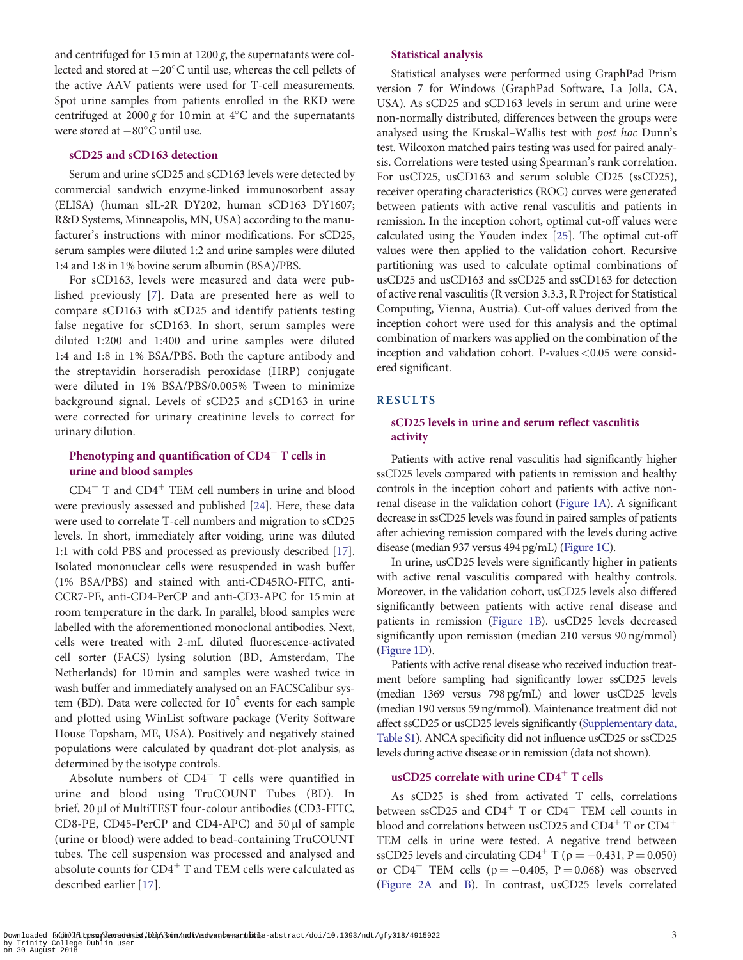<span id="page-2-0"></span>and centrifuged for  $15$  min at  $1200$  g, the supernatants were collected and stored at  $-20^{\circ}$ C until use, whereas the cell pellets of the active AAV patients were used for T-cell measurements. Spot urine samples from patients enrolled in the RKD were centrifuged at 2000 g for 10 min at  $4^{\circ}$ C and the supernatants were stored at  $-80^{\circ}$ C until use.

#### sCD25 and sCD163 detection

Serum and urine sCD25 and sCD163 levels were detected by commercial sandwich enzyme-linked immunosorbent assay (ELISA) (human sIL-2R DY202, human sCD163 DY1607; R&D Systems, Minneapolis, MN, USA) according to the manufacturer's instructions with minor modifications. For sCD25, serum samples were diluted 1:2 and urine samples were diluted 1:4 and 1:8 in 1% bovine serum albumin (BSA)/PBS.

For sCD163, levels were measured and data were published previously [[7\]](#page-7-0). Data are presented here as well to compare sCD163 with sCD25 and identify patients testing false negative for sCD163. In short, serum samples were diluted 1:200 and 1:400 and urine samples were diluted 1:4 and 1:8 in 1% BSA/PBS. Both the capture antibody and the streptavidin horseradish peroxidase (HRP) conjugate were diluted in 1% BSA/PBS/0.005% Tween to minimize background signal. Levels of sCD25 and sCD163 in urine were corrected for urinary creatinine levels to correct for urinary dilution.

## Phenotyping and quantification of  $CD4<sup>+</sup>$  T cells in urine and blood samples

 $CD4<sup>+</sup>$  T and  $CD4<sup>+</sup>$  TEM cell numbers in urine and blood were previously assessed and published [\[24\]](#page-8-0). Here, these data were used to correlate T-cell numbers and migration to sCD25 levels. In short, immediately after voiding, urine was diluted 1:1 with cold PBS and processed as previously described [[17\]](#page-7-0). Isolated mononuclear cells were resuspended in wash buffer (1% BSA/PBS) and stained with anti-CD45RO-FITC, anti-CCR7-PE, anti-CD4-PerCP and anti-CD3-APC for 15 min at room temperature in the dark. In parallel, blood samples were labelled with the aforementioned monoclonal antibodies. Next, cells were treated with 2-mL diluted fluorescence-activated cell sorter (FACS) lysing solution (BD, Amsterdam, The Netherlands) for 10 min and samples were washed twice in wash buffer and immediately analysed on an FACSCalibur system (BD). Data were collected for  $10^5$  events for each sample and plotted using WinList software package (Verity Software House Topsham, ME, USA). Positively and negatively stained populations were calculated by quadrant dot-plot analysis, as determined by the isotype controls.

Absolute numbers of  $CD4^+$  T cells were quantified in urine and blood using TruCOUNT Tubes (BD). In brief, 20 µl of MultiTEST four-colour antibodies (CD3-FITC, CD8-PE, CD45-PerCP and CD4-APC) and 50 µl of sample (urine or blood) were added to bead-containing TruCOUNT tubes. The cell suspension was processed and analysed and absolute counts for  $CD4^+$  T and TEM cells were calculated as described earlier [\[17\]](#page-7-0).

#### Statistical analysis

Statistical analyses were performed using GraphPad Prism version 7 for Windows (GraphPad Software, La Jolla, CA, USA). As sCD25 and sCD163 levels in serum and urine were non-normally distributed, differences between the groups were analysed using the Kruskal–Wallis test with post hoc Dunn's test. Wilcoxon matched pairs testing was used for paired analysis. Correlations were tested using Spearman's rank correlation. For usCD25, usCD163 and serum soluble CD25 (ssCD25), receiver operating characteristics (ROC) curves were generated between patients with active renal vasculitis and patients in remission. In the inception cohort, optimal cut-off values were calculated using the Youden index [[25](#page-8-0)]. The optimal cut-off values were then applied to the validation cohort. Recursive partitioning was used to calculate optimal combinations of usCD25 and usCD163 and ssCD25 and ssCD163 for detection of active renal vasculitis (R version 3.3.3, R Project for Statistical Computing, Vienna, Austria). Cut-off values derived from the inception cohort were used for this analysis and the optimal combination of markers was applied on the combination of the inception and validation cohort. P-values <0.05 were considered significant.

#### RESULTS

## sCD25 levels in urine and serum reflect vasculitis activity

Patients with active renal vasculitis had significantly higher ssCD25 levels compared with patients in remission and healthy controls in the inception cohort and patients with active nonrenal disease in the validation cohort [\(Figure 1A](#page-3-0)). A significant decrease in ssCD25 levels was found in paired samples of patients after achieving remission compared with the levels during active disease (median 937 versus 494 pg/mL) [\(Figure 1C](#page-3-0)).

In urine, usCD25 levels were significantly higher in patients with active renal vasculitis compared with healthy controls. Moreover, in the validation cohort, usCD25 levels also differed significantly between patients with active renal disease and patients in remission ([Figure 1B](#page-3-0)). usCD25 levels decreased significantly upon remission (median 210 versus 90 ng/mmol) ([Figure 1D\)](#page-3-0).

Patients with active renal disease who received induction treatment before sampling had significantly lower ssCD25 levels (median 1369 versus 798 pg/mL) and lower usCD25 levels (median 190 versus 59 ng/mmol). Maintenance treatment did not affect ssCD25 or usCD25 levels significantly [\(Supplementary data,](https://academic.oup.com/ndt/article-lookup/doi/10.1093/ndt/gfy018#supplementary-data) [Table S1\)](https://academic.oup.com/ndt/article-lookup/doi/10.1093/ndt/gfy018#supplementary-data). ANCA specificity did not influence usCD25 or ssCD25 levels during active disease or in remission (data not shown).

#### usCD25 correlate with urine  $CD4<sup>+</sup>$  T cells

As sCD25 is shed from activated T cells, correlations between ssCD25 and  $CD4^+$  T or  $CD4^+$  TEM cell counts in blood and correlations between usCD25 and  $CD4^+$  T or  $CD4^+$ TEM cells in urine were tested. A negative trend between ssCD25 levels and circulating CD4<sup>+</sup> T ( $\rho = -0.431$ , P = 0.050) or  $CD4^+$  TEM cells ( $\rho = -0.405$ ,  $P = 0.068$ ) was observed ([Figure 2A](#page-3-0) and [B\)](#page-3-0). In contrast, usCD25 levels correlated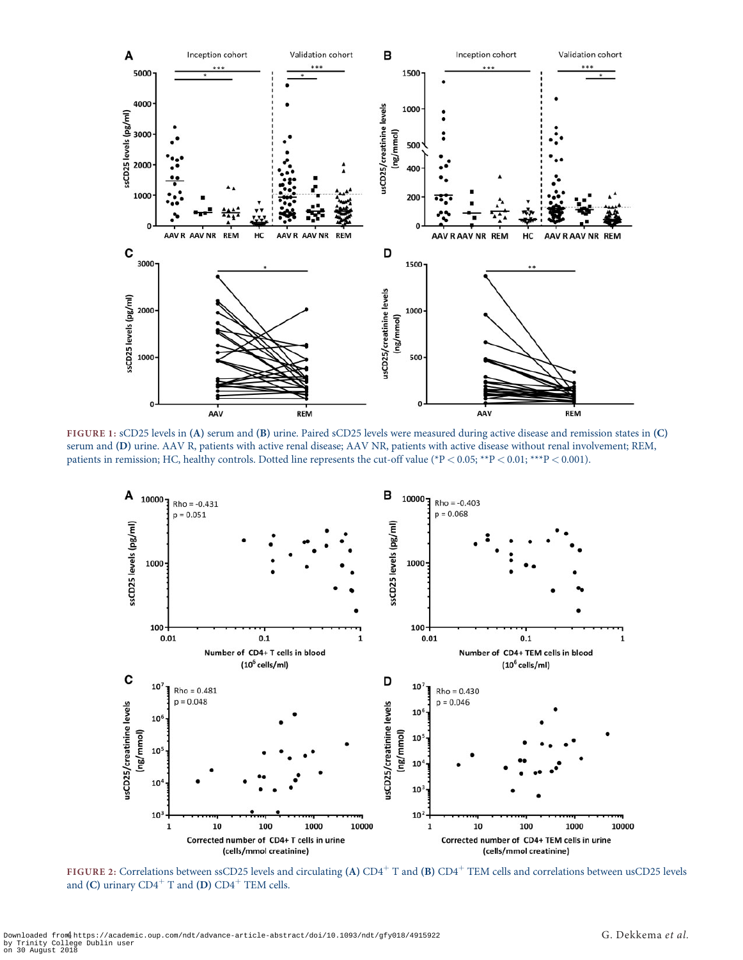<span id="page-3-0"></span>

FIGURE 1: sCD25 levels in (A) serum and (B) urine. Paired sCD25 levels were measured during active disease and remission states in (C) serum and (D) urine. AAV R, patients with active renal disease; AAV NR, patients with active disease without renal involvement; REM, patients in remission; HC, healthy controls. Dotted line represents the cut-off value (\*P < 0.05; \*\*P < 0.01; \*\*\*P < 0.001).



FIGURE 2: Correlations between ssCD25 levels and circulating (A)  $CD4^+$  T and (B)  $CD4^+$  TEM cells and correlations between usCD25 levels and (C) urinary  $CD4^+$  T and (D)  $CD4^+$  TEM cells.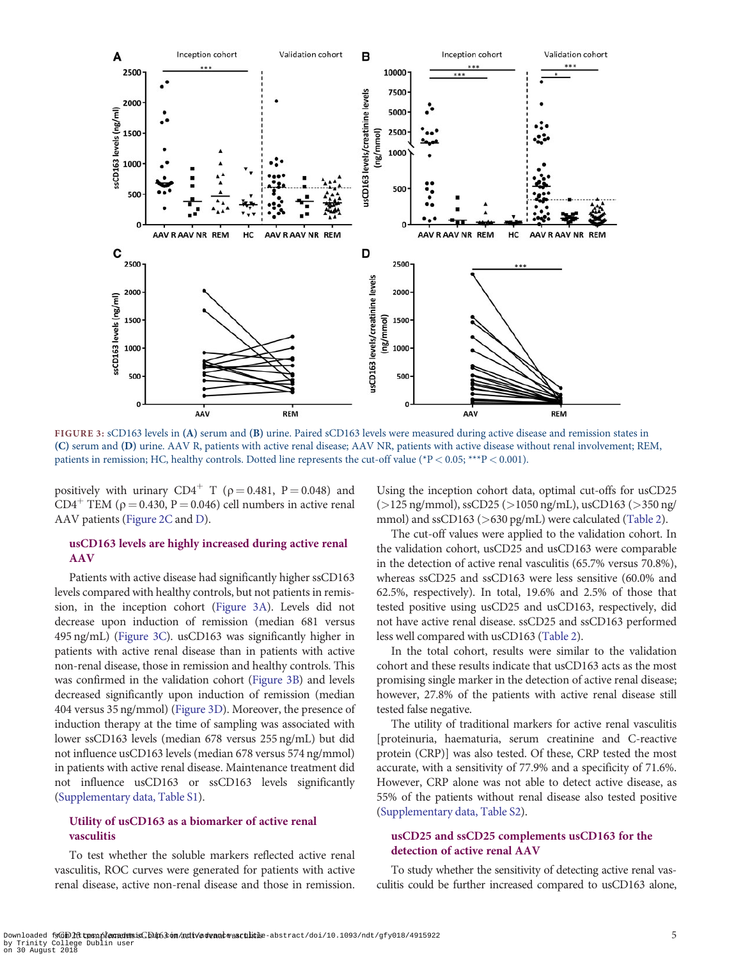

FIGURE 3: sCD163 levels in (A) serum and (B) urine. Paired sCD163 levels were measured during active disease and remission states in (C) serum and (D) urine. AAV R, patients with active renal disease; AAV NR, patients with active disease without renal involvement; REM, patients in remission; HC, healthy controls. Dotted line represents the cut-off value (\*P < 0.05; \*\*\*P < 0.001).

positively with urinary  $CD4^+$  T ( $\rho = 0.481$ , P = 0.048) and  $CD4^+$  TEM ( $\rho = 0.430$ ,  $P = 0.046$ ) cell numbers in active renal AAV patients [\(Figure 2C](#page-3-0) and [D](#page-3-0)).

## usCD163 levels are highly increased during active renal AAV

Patients with active disease had significantly higher ssCD163 levels compared with healthy controls, but not patients in remission, in the inception cohort (Figure 3A). Levels did not decrease upon induction of remission (median 681 versus 495 ng/mL) (Figure 3C). usCD163 was significantly higher in patients with active renal disease than in patients with active non-renal disease, those in remission and healthy controls. This was confirmed in the validation cohort (Figure 3B) and levels decreased significantly upon induction of remission (median 404 versus 35 ng/mmol) (Figure 3D). Moreover, the presence of induction therapy at the time of sampling was associated with lower ssCD163 levels (median 678 versus 255 ng/mL) but did not influence usCD163 levels (median 678 versus 574 ng/mmol) in patients with active renal disease. Maintenance treatment did not influence usCD163 or ssCD163 levels significantly [\(Supplementary data, Table S1](https://academic.oup.com/ndt/article-lookup/doi/10.1093/ndt/gfy018#supplementary-data)).

## Utility of usCD163 as a biomarker of active renal vasculitis

To test whether the soluble markers reflected active renal vasculitis, ROC curves were generated for patients with active renal disease, active non-renal disease and those in remission. Using the inception cohort data, optimal cut-offs for usCD25  $(>125 \text{ ng/mmol})$ , ssCD25 ( $>1050 \text{ ng/mL}$ ), usCD163 ( $>350 \text{ ng/mol}$ mmol) and ssCD163 (>630 pg/mL) were calculated ([Table 2](#page-5-0)).

The cut-off values were applied to the validation cohort. In the validation cohort, usCD25 and usCD163 were comparable in the detection of active renal vasculitis (65.7% versus 70.8%), whereas ssCD25 and ssCD163 were less sensitive (60.0% and 62.5%, respectively). In total, 19.6% and 2.5% of those that tested positive using usCD25 and usCD163, respectively, did not have active renal disease. ssCD25 and ssCD163 performed less well compared with usCD163 ([Table 2](#page-5-0)).

In the total cohort, results were similar to the validation cohort and these results indicate that usCD163 acts as the most promising single marker in the detection of active renal disease; however, 27.8% of the patients with active renal disease still tested false negative.

The utility of traditional markers for active renal vasculitis [proteinuria, haematuria, serum creatinine and C-reactive protein (CRP)] was also tested. Of these, CRP tested the most accurate, with a sensitivity of 77.9% and a specificity of 71.6%. However, CRP alone was not able to detect active disease, as 55% of the patients without renal disease also tested positive ([Supplementary data, Table S2](https://academic.oup.com/ndt/article-lookup/doi/10.1093/ndt/gfy018#supplementary-data)).

## usCD25 and ssCD25 complements usCD163 for the detection of active renal AAV

To study whether the sensitivity of detecting active renal vasculitis could be further increased compared to usCD163 alone,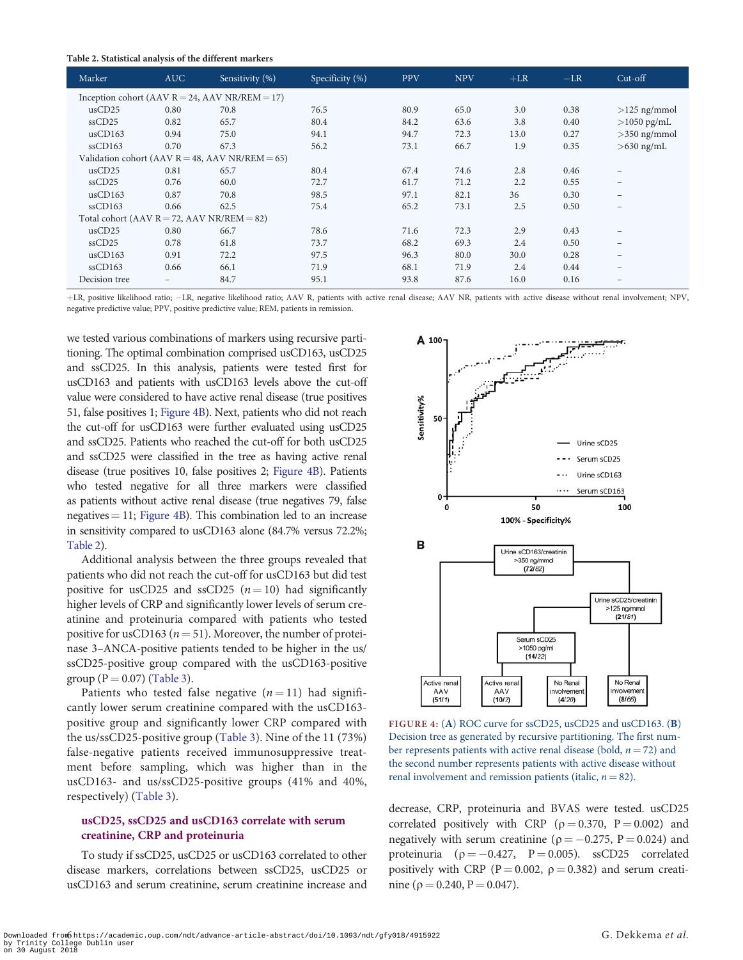<span id="page-5-0"></span>

|  | Table 2. Statistical analysis of the different markers |  |
|--|--------------------------------------------------------|--|
|--|--------------------------------------------------------|--|

| Marker                                             | <b>AUC</b> | Sensitivity (%) | Specificity (%) | <b>PPV</b> | <b>NPV</b> | $+LR$ | $-LR$ | $Cut-off$                       |
|----------------------------------------------------|------------|-----------------|-----------------|------------|------------|-------|-------|---------------------------------|
| Inception cohort (AAV $R = 24$ , AAV NR/REM = 17)  |            |                 |                 |            |            |       |       |                                 |
| usCD25                                             | 0.80       | 70.8            | 76.5            | 80.9       | 65.0       | 3.0   | 0.38  | $>125$ ng/mmol                  |
| $s\nCD25$                                          | 0.82       | 65.7            | 80.4            | 84.2       | 63.6       | 3.8   | 0.40  | $>$ 1050 pg/mL                  |
| usCD163                                            | 0.94       | 75.0            | 94.1            | 94.7       | 72.3       | 13.0  | 0.27  | $>350$ ng/mmol                  |
| $s\nCD163$                                         | 0.70       | 67.3            | 56.2            | 73.1       | 66.7       | 1.9   | 0.35  | $>630$ ng/mL                    |
| Validation cohort (AAV $R = 48$ , AAV NR/REM = 65) |            |                 |                 |            |            |       |       |                                 |
| usCD25                                             | 0.81       | 65.7            | 80.4            | 67.4       | 74.6       | 2.8   | 0.46  |                                 |
| ssCD25                                             | 0.76       | 60.0            | 72.7            | 61.7       | 71.2       | 2.2   | 0.55  |                                 |
| usCD163                                            | 0.87       | 70.8            | 98.5            | 97.1       | 82.1       | 36    | 0.30  |                                 |
| $s\nCD163$                                         | 0.66       | 62.5            | 75.4            | 65.2       | 73.1       | 2.5   | 0.50  |                                 |
| Total cohort (AAV $R = 72$ , AAV NR/REM = 82)      |            |                 |                 |            |            |       |       |                                 |
| usCD25                                             | 0.80       | 66.7            | 78.6            | 71.6       | 72.3       | 2.9   | 0.43  | $\qquad \qquad$                 |
| $s\nCD25$                                          | 0.78       | 61.8            | 73.7            | 68.2       | 69.3       | 2.4   | 0.50  | $\hspace{0.1mm}-\hspace{0.1mm}$ |
| usCD163                                            | 0.91       | 72.2            | 97.5            | 96.3       | 80.0       | 30.0  | 0.28  |                                 |
| $s\nCD163$                                         | 0.66       | 66.1            | 71.9            | 68.1       | 71.9       | 2.4   | 0.44  |                                 |
| Decision tree                                      |            | 84.7            | 95.1            | 93.8       | 87.6       | 16.0  | 0.16  |                                 |

+LR, positive likelihood ratio; –LR, negative likelihood ratio; AAV R, patients with active renal disease; AAV NR, patients with active disease without renal involvement; NPV, negative predictive value; PPV, positive predictive value; REM, patients in remission.

we tested various combinations of markers using recursive partitioning. The optimal combination comprised usCD163, usCD25 and ssCD25. In this analysis, patients were tested first for usCD163 and patients with usCD163 levels above the cut-off value were considered to have active renal disease (true positives 51, false positives 1; Figure 4B). Next, patients who did not reach the cut-off for usCD163 were further evaluated using usCD25 and ssCD25. Patients who reached the cut-off for both usCD25 and ssCD25 were classified in the tree as having active renal disease (true positives 10, false positives 2; Figure 4B). Patients who tested negative for all three markers were classified as patients without active renal disease (true negatives 79, false negatives  $= 11$ ; Figure 4B). This combination led to an increase in sensitivity compared to usCD163 alone (84.7% versus 72.2%; Table 2).

Additional analysis between the three groups revealed that patients who did not reach the cut-off for usCD163 but did test positive for usCD25 and ssCD25 ( $n = 10$ ) had significantly higher levels of CRP and significantly lower levels of serum creatinine and proteinuria compared with patients who tested positive for usCD163 ( $n = 51$ ). Moreover, the number of proteinase 3–ANCA-positive patients tended to be higher in the us/ ssCD25-positive group compared with the usCD163-positive group ( $P = 0.07$ ) [\(Table 3](#page-6-0)).

Patients who tested false negative  $(n = 11)$  had significantly lower serum creatinine compared with the usCD163 positive group and significantly lower CRP compared with the us/ssCD25-positive group ([Table 3\)](#page-6-0). Nine of the 11 (73%) false-negative patients received immunosuppressive treatment before sampling, which was higher than in the usCD163- and us/ssCD25-positive groups (41% and 40%, respectively) ([Table 3](#page-6-0)).

## usCD25, ssCD25 and usCD163 correlate with serum creatinine, CRP and proteinuria

To study if ssCD25, usCD25 or usCD163 correlated to other disease markers, correlations between ssCD25, usCD25 or usCD163 and serum creatinine, serum creatinine increase and



FIGURE 4: (A) ROC curve for ssCD25, usCD25 and usCD163. (B) Decision tree as generated by recursive partitioning. The first number represents patients with active renal disease (bold,  $n = 72$ ) and the second number represents patients with active disease without renal involvement and remission patients (italic,  $n = 82$ ).

decrease, CRP, proteinuria and BVAS were tested. usCD25 correlated positively with CRP ( $\rho = 0.370$ , P = 0.002) and negatively with serum creatinine ( $\rho = -0.275$ ,  $P = 0.024$ ) and proteinuria ( $p = -0.427$ ,  $P = 0.005$ ). ssCD25 correlated positively with CRP ( $P = 0.002$ ,  $\rho = 0.382$ ) and serum creatinine ( $\rho = 0.240$ ,  $P = 0.047$ ).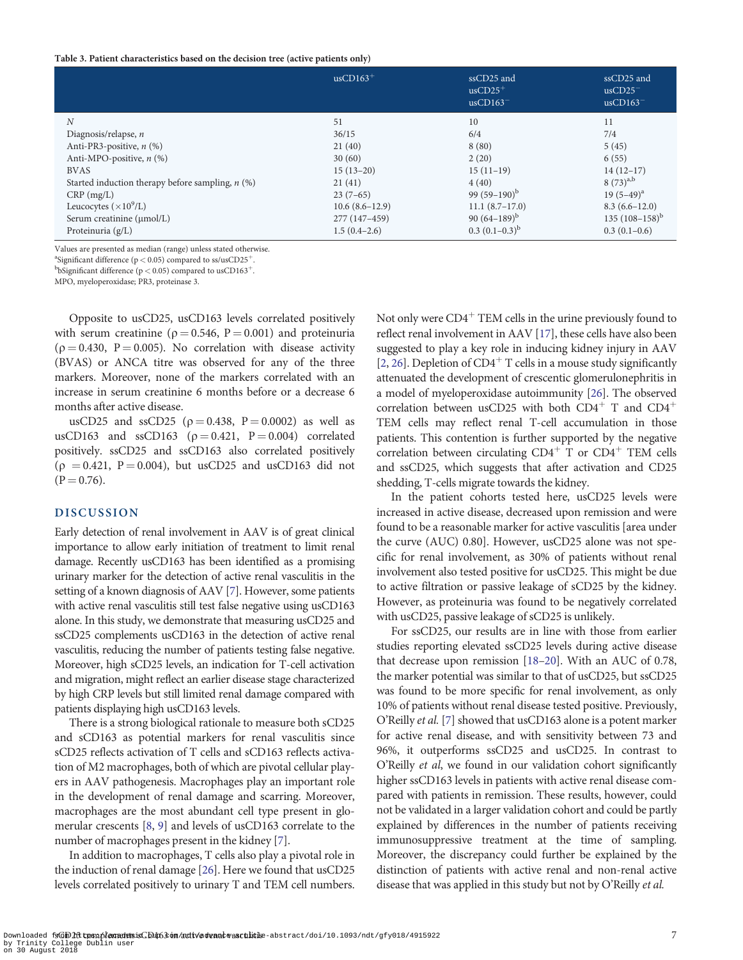#### <span id="page-6-0"></span>Table 3. Patient characteristics based on the decision tree (active patients only)

|                                                    | $usCD163+$       | ssCD25 and<br>$usCD25+$<br>$usCD163^-$ | ssCD25 and<br>$usCD25$ <sup>-</sup><br>$usCD163^-$ |
|----------------------------------------------------|------------------|----------------------------------------|----------------------------------------------------|
| N                                                  | 51               | 10                                     | 11                                                 |
| Diagnosis/relapse, $n$                             | 36/15            | 6/4                                    | 7/4                                                |
| Anti-PR3-positive, $n$ (%)                         | 21(40)           | 8(80)                                  | 5(45)                                              |
| Anti-MPO-positive, $n$ (%)                         | 30(60)           | 2(20)                                  | 6(55)                                              |
| <b>BVAS</b>                                        | $15(13-20)$      | $15(11-19)$                            | $14(12-17)$                                        |
| Started induction therapy before sampling, $n$ (%) | 21(41)           | 4(40)                                  | $8(73)^{a,b}$                                      |
| $CRP$ (mg/L)                                       | $23(7-65)$       | 99 $(59-190)^{b}$                      | $19(5-49)^a$                                       |
| Leucocytes $(\times 10^9$ /L)                      | $10.6(8.6-12.9)$ | $11.1(8.7-17.0)$                       | $8.3(6.6 - 12.0)$                                  |
| Serum creatinine (umol/L)                          | 277 (147-459)    | 90 $(64-189)^{b}$                      | 135 $(108-158)^b$                                  |
| Proteinuria $(g/L)$                                | $1.5(0.4-2.6)$   | $0.3(0.1-0.3)^{b}$                     | $0.3(0.1-0.6)$                                     |

Values are presented as median (range) unless stated otherwise.

<sup>a</sup>Significant difference ( $p < 0.05$ ) compared to ss/usCD25<sup>+</sup>.

<sup>b</sup>bSignificant difference ( $p < 0.05$ ) compared to usCD163<sup>+</sup>.

MPO, myeloperoxidase; PR3, proteinase 3.

Opposite to usCD25, usCD163 levels correlated positively with serum creatinine ( $p = 0.546$ ,  $P = 0.001$ ) and proteinuria  $(p = 0.430, P = 0.005)$ . No correlation with disease activity (BVAS) or ANCA titre was observed for any of the three markers. Moreover, none of the markers correlated with an increase in serum creatinine 6 months before or a decrease 6 months after active disease.

usCD25 and ssCD25 ( $\rho = 0.438$ , P = 0.0002) as well as usCD163 and ssCD163 ( $\rho = 0.421$ , P = 0.004) correlated positively. ssCD25 and ssCD163 also correlated positively  $(p = 0.421, P = 0.004)$ , but usCD25 and usCD163 did not  $(P = 0.76)$ .

### DISCUSSION

Early detection of renal involvement in AAV is of great clinical importance to allow early initiation of treatment to limit renal damage. Recently usCD163 has been identified as a promising urinary marker for the detection of active renal vasculitis in the setting of a known diagnosis of AAV [\[7](#page-7-0)]. However, some patients with active renal vasculitis still test false negative using usCD163 alone. In this study, we demonstrate that measuring usCD25 and ssCD25 complements usCD163 in the detection of active renal vasculitis, reducing the number of patients testing false negative. Moreover, high sCD25 levels, an indication for T-cell activation and migration, might reflect an earlier disease stage characterized by high CRP levels but still limited renal damage compared with patients displaying high usCD163 levels.

There is a strong biological rationale to measure both sCD25 and sCD163 as potential markers for renal vasculitis since sCD25 reflects activation of T cells and sCD163 reflects activation of M2 macrophages, both of which are pivotal cellular players in AAV pathogenesis. Macrophages play an important role in the development of renal damage and scarring. Moreover, macrophages are the most abundant cell type present in glomerular crescents [[8](#page-7-0), [9\]](#page-7-0) and levels of usCD163 correlate to the number of macrophages present in the kidney [\[7\]](#page-7-0).

In addition to macrophages, T cells also play a pivotal role in the induction of renal damage [[26](#page-8-0)]. Here we found that usCD25 levels correlated positively to urinary T and TEM cell numbers. Not only were  $CD4^+$  TEM cells in the urine previously found to reflect renal involvement in AAV [[17](#page-7-0)], these cells have also been suggested to play a key role in inducing kidney injury in AAV [[2,](#page-7-0) [26](#page-8-0)]. Depletion of  $CD4^+$  T cells in a mouse study significantly attenuated the development of crescentic glomerulonephritis in a model of myeloperoxidase autoimmunity [\[26](#page-8-0)]. The observed correlation between usCD25 with both  $CD4^+$  T and  $CD4^+$ TEM cells may reflect renal T-cell accumulation in those patients. This contention is further supported by the negative correlation between circulating  $CD4^+$  T or  $CD4^+$  TEM cells and ssCD25, which suggests that after activation and CD25 shedding, T-cells migrate towards the kidney.

In the patient cohorts tested here, usCD25 levels were increased in active disease, decreased upon remission and were found to be a reasonable marker for active vasculitis [area under the curve (AUC) 0.80]. However, usCD25 alone was not specific for renal involvement, as 30% of patients without renal involvement also tested positive for usCD25. This might be due to active filtration or passive leakage of sCD25 by the kidney. However, as proteinuria was found to be negatively correlated with usCD25, passive leakage of sCD25 is unlikely.

For ssCD25, our results are in line with those from earlier studies reporting elevated ssCD25 levels during active disease that decrease upon remission [[18](#page-7-0)[–20](#page-8-0)]. With an AUC of 0.78, the marker potential was similar to that of usCD25, but ssCD25 was found to be more specific for renal involvement, as only 10% of patients without renal disease tested positive. Previously, O'Reilly et al. [\[7](#page-7-0)] showed that usCD163 alone is a potent marker for active renal disease, and with sensitivity between 73 and 96%, it outperforms ssCD25 and usCD25. In contrast to O'Reilly et al, we found in our validation cohort significantly higher ssCD163 levels in patients with active renal disease compared with patients in remission. These results, however, could not be validated in a larger validation cohort and could be partly explained by differences in the number of patients receiving immunosuppressive treatment at the time of sampling. Moreover, the discrepancy could further be explained by the distinction of patients with active renal and non-renal active disease that was applied in this study but not by O'Reilly et al.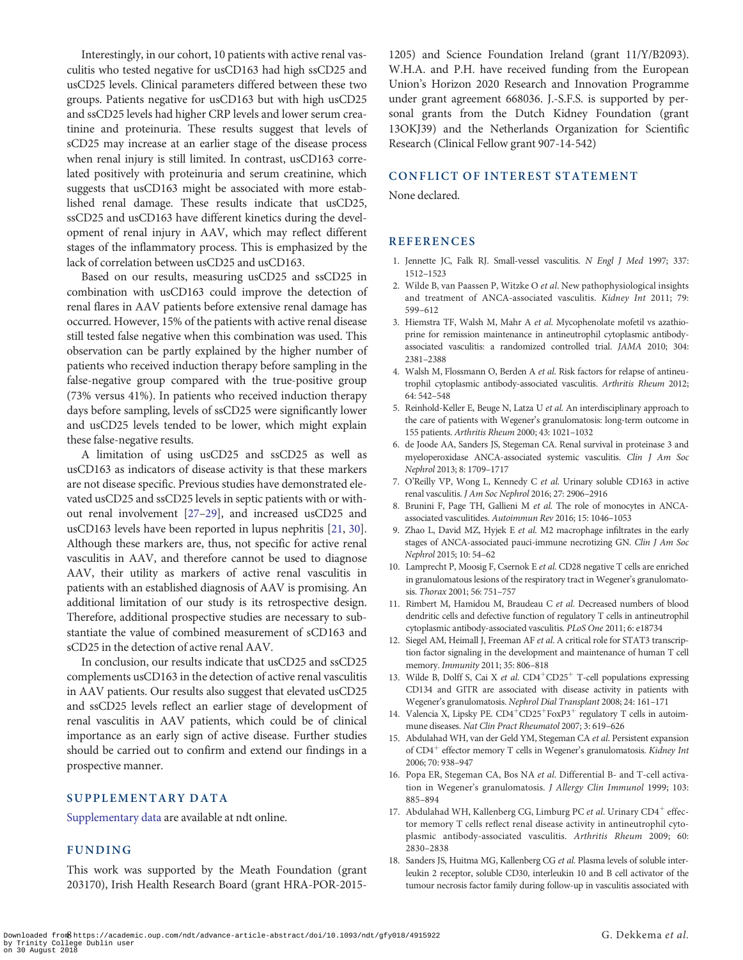<span id="page-7-0"></span>Interestingly, in our cohort, 10 patients with active renal vasculitis who tested negative for usCD163 had high ssCD25 and usCD25 levels. Clinical parameters differed between these two groups. Patients negative for usCD163 but with high usCD25 and ssCD25 levels had higher CRP levels and lower serum creatinine and proteinuria. These results suggest that levels of sCD25 may increase at an earlier stage of the disease process when renal injury is still limited. In contrast, usCD163 correlated positively with proteinuria and serum creatinine, which suggests that usCD163 might be associated with more established renal damage. These results indicate that usCD25, ssCD25 and usCD163 have different kinetics during the development of renal injury in AAV, which may reflect different stages of the inflammatory process. This is emphasized by the lack of correlation between usCD25 and usCD163.

Based on our results, measuring usCD25 and ssCD25 in combination with usCD163 could improve the detection of renal flares in AAV patients before extensive renal damage has occurred. However, 15% of the patients with active renal disease still tested false negative when this combination was used. This observation can be partly explained by the higher number of patients who received induction therapy before sampling in the false-negative group compared with the true-positive group (73% versus 41%). In patients who received induction therapy days before sampling, levels of ssCD25 were significantly lower and usCD25 levels tended to be lower, which might explain these false-negative results.

A limitation of using usCD25 and ssCD25 as well as usCD163 as indicators of disease activity is that these markers are not disease specific. Previous studies have demonstrated elevated usCD25 and ssCD25 levels in septic patients with or without renal involvement [[27–29\]](#page-8-0), and increased usCD25 and usCD163 levels have been reported in lupus nephritis [\[21,](#page-8-0) [30\]](#page-8-0). Although these markers are, thus, not specific for active renal vasculitis in AAV, and therefore cannot be used to diagnose AAV, their utility as markers of active renal vasculitis in patients with an established diagnosis of AAV is promising. An additional limitation of our study is its retrospective design. Therefore, additional prospective studies are necessary to substantiate the value of combined measurement of sCD163 and sCD25 in the detection of active renal AAV.

In conclusion, our results indicate that usCD25 and ssCD25 complements usCD163 in the detection of active renal vasculitis in AAV patients. Our results also suggest that elevated usCD25 and ssCD25 levels reflect an earlier stage of development of renal vasculitis in AAV patients, which could be of clinical importance as an early sign of active disease. Further studies should be carried out to confirm and extend our findings in a prospective manner.

#### SUPPLEMENTARY DATA

[Supplementary data](https://academic.oup.com/ndt/article-lookup/doi/10.1093/ndt/gfy018#supplementary-data) are available at ndt online.

#### FUNDING

This work was supported by the Meath Foundation (grant 203170), Irish Health Research Board (grant HRA-POR-20151205) and Science Foundation Ireland (grant 11/Y/B2093). W.H.A. and P.H. have received funding from the European Union's Horizon 2020 Research and Innovation Programme under grant agreement 668036. J.-S.F.S. is supported by personal grants from the Dutch Kidney Foundation (grant 13OKJ39) and the Netherlands Organization for Scientific Research (Clinical Fellow grant 907-14-542)

#### CONFLICT OF INTEREST STATEMENT

None declared.

#### REFERENCES

- [1.](#page-0-0) Jennette JC, Falk RJ. Small-vessel vasculitis. N Engl J Med 1997; 337: 1512–1523
- [2.](#page-0-0) Wilde B, van Paassen P, Witzke O et al. New pathophysiological insights and treatment of ANCA-associated vasculitis. Kidney Int 2011; 79: 599–612
- [3.](#page-0-0) Hiemstra TF, Walsh M, Mahr A et al. Mycophenolate mofetil vs azathioprine for remission maintenance in antineutrophil cytoplasmic antibodyassociated vasculitis: a randomized controlled trial. JAMA 2010; 304: 2381–2388
- [4.](#page-0-0) Walsh M, Flossmann O, Berden A et al. Risk factors for relapse of antineutrophil cytoplasmic antibody-associated vasculitis. Arthritis Rheum 2012; 64: 542–548
- [5.](#page-0-0) Reinhold-Keller E, Beuge N, Latza U et al. An interdisciplinary approach to the care of patients with Wegener's granulomatosis: long-term outcome in 155 patients. Arthritis Rheum 2000; 43: 1021–1032
- [6.](#page-0-0) de Joode AA, Sanders JS, Stegeman CA. Renal survival in proteinase 3 and myeloperoxidase ANCA-associated systemic vasculitis. Clin J Am Soc Nephrol 2013; 8: 1709–1717
- [7.](#page-0-0) O'Reilly VP, Wong L, Kennedy C et al. Urinary soluble CD163 in active renal vasculitis. J Am Soc Nephrol 2016; 27: 2906–2916
- [8.](#page-0-0) Brunini F, Page TH, Gallieni M et al. The role of monocytes in ANCAassociated vasculitides. Autoimmun Rev 2016; 15: 1046–1053
- [9.](#page-0-0) Zhao L, David MZ, Hyjek E et al. M2 macrophage infiltrates in the early stages of ANCA-associated pauci-immune necrotizing GN. Clin J Am Soc Nephrol 2015; 10: 54–62
- 10. Lamprecht P, Moosig F, Csernok E et al. CD28 negative T cells are enriched in granulomatous lesions of the respiratory tract in Wegener's granulomatosis. Thorax 2001; 56: 751–757
- 11. Rimbert M, Hamidou M, Braudeau C et al. Decreased numbers of blood dendritic cells and defective function of regulatory T cells in antineutrophil cytoplasmic antibody-associated vasculitis. PLoS One 2011; 6: e18734
- 12. Siegel AM, Heimall J, Freeman AF et al. A critical role for STAT3 transcription factor signaling in the development and maintenance of human T cell memory. Immunity 2011; 35: 806–818
- 13. Wilde B, Dolff S, Cai X et al.  $CD4^+CD25^+$  T-cell populations expressing CD134 and GITR are associated with disease activity in patients with Wegener's granulomatosis. Nephrol Dial Transplant 2008; 24: 161–171
- 14. Valencia X, Lipsky PE. CD4<sup>+</sup>CD25<sup>+</sup>FoxP3<sup>+</sup> regulatory T cells in autoimmune diseases. Nat Clin Pract Rheumatol 2007; 3: 619–626
- 15. Abdulahad WH, van der Geld YM, Stegeman CA et al. Persistent expansion of  $CD4^+$  effector memory T cells in Wegener's granulomatosis. Kidney Int 2006; 70: 938–947
- [16](#page-1-0). Popa ER, Stegeman CA, Bos NA et al. Differential B- and T-cell activation in Wegener's granulomatosis. J Allergy Clin Immunol 1999; 103: 885–894
- [17](#page-1-0). Abdulahad WH, Kallenberg CG, Limburg PC et al. Urinary CD4<sup>+</sup> effector memory T cells reflect renal disease activity in antineutrophil cytoplasmic antibody-associated vasculitis. Arthritis Rheum 2009; 60: 2830–2838
- 18. Sanders JS, Huitma MG, Kallenberg CG et al. Plasma levels of soluble interleukin 2 receptor, soluble CD30, interleukin 10 and B cell activator of the tumour necrosis factor family during follow-up in vasculitis associated with